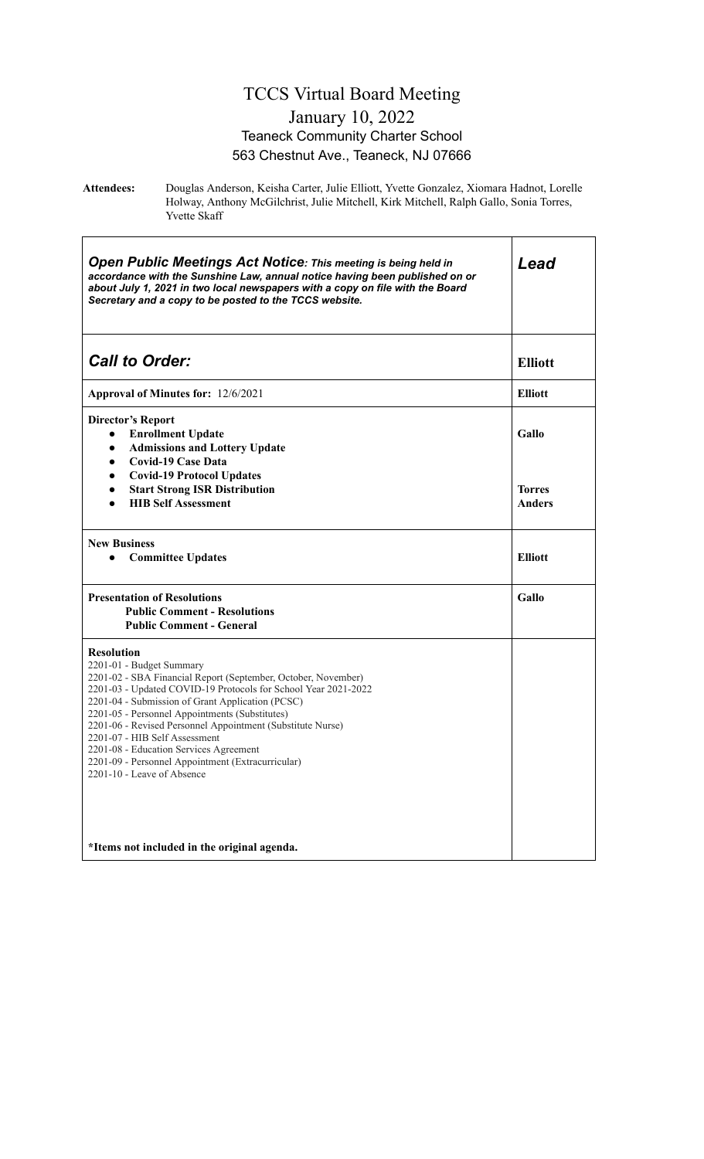#### TCCS Virtual Board Meeting January 10, 2022 Teaneck Community Charter School 563 Chestnut Ave., Teaneck, NJ 07666

**Attendees:** Douglas Anderson, Keisha Carter, Julie Elliott, Yvette Gonzalez, Xiomara Hadnot, Lorelle Holway, Anthony McGilchrist, Julie Mitchell, Kirk Mitchell, Ralph Gallo, Sonia Torres, Yvette Skaff

| <b>Open Public Meetings Act Notice: This meeting is being held in</b><br>accordance with the Sunshine Law, annual notice having been published on or<br>about July 1, 2021 in two local newspapers with a copy on file with the Board<br>Secretary and a copy to be posted to the TCCS website.                                                                                                                                                                                                                                                                   | Lead                                    |
|-------------------------------------------------------------------------------------------------------------------------------------------------------------------------------------------------------------------------------------------------------------------------------------------------------------------------------------------------------------------------------------------------------------------------------------------------------------------------------------------------------------------------------------------------------------------|-----------------------------------------|
| <b>Call to Order:</b>                                                                                                                                                                                                                                                                                                                                                                                                                                                                                                                                             | <b>Elliott</b>                          |
| Approval of Minutes for: 12/6/2021                                                                                                                                                                                                                                                                                                                                                                                                                                                                                                                                | <b>Elliott</b>                          |
| <b>Director's Report</b><br><b>Enrollment Update</b><br>$\bullet$<br><b>Admissions and Lottery Update</b><br>$\bullet$<br><b>Covid-19 Case Data</b><br>$\bullet$<br><b>Covid-19 Protocol Updates</b><br>$\bullet$<br><b>Start Strong ISR Distribution</b><br>$\bullet$<br><b>HIB Self Assessment</b><br>$\bullet$                                                                                                                                                                                                                                                 | Gallo<br><b>Torres</b><br><b>Anders</b> |
| <b>New Business</b><br><b>Committee Updates</b><br>$\bullet$                                                                                                                                                                                                                                                                                                                                                                                                                                                                                                      | <b>Elliott</b>                          |
| <b>Presentation of Resolutions</b><br><b>Public Comment - Resolutions</b><br><b>Public Comment - General</b>                                                                                                                                                                                                                                                                                                                                                                                                                                                      | Gallo                                   |
| <b>Resolution</b><br>2201-01 - Budget Summary<br>2201-02 - SBA Financial Report (September, October, November)<br>2201-03 - Updated COVID-19 Protocols for School Year 2021-2022<br>2201-04 - Submission of Grant Application (PCSC)<br>2201-05 - Personnel Appointments (Substitutes)<br>2201-06 - Revised Personnel Appointment (Substitute Nurse)<br>2201-07 - HIB Self Assessment<br>2201-08 - Education Services Agreement<br>2201-09 - Personnel Appointment (Extracurricular)<br>2201-10 - Leave of Absence<br>*Items not included in the original agenda. |                                         |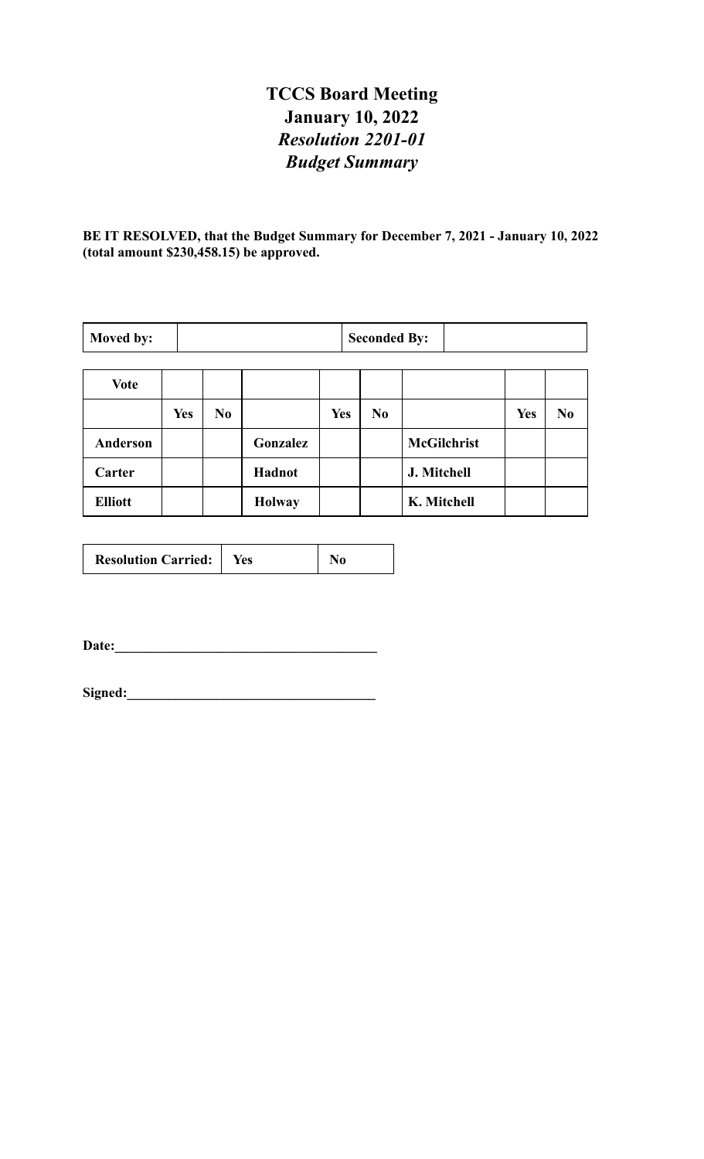# **TCCS Board Meeting January 10, 2022** *Resolution 2201-01 Budget Summary*

**BE IT RESOLVED, that the Budget Summary for December 7, 2021 - January 10, 2022 (total amount \$230,458.15) be approved.**

| Moved by:      |            | <b>Seconded By:</b> |               |            |                |                    |            |                |
|----------------|------------|---------------------|---------------|------------|----------------|--------------------|------------|----------------|
| <b>Vote</b>    |            |                     |               |            |                |                    |            |                |
|                | <b>Yes</b> | N <sub>0</sub>      |               | <b>Yes</b> | N <sub>0</sub> |                    | <b>Yes</b> | N <sub>0</sub> |
| Anderson       |            |                     | Gonzalez      |            |                | <b>McGilchrist</b> |            |                |
| Carter         |            |                     | Hadnot        |            |                | J. Mitchell        |            |                |
| <b>Elliott</b> |            |                     | <b>Holway</b> |            |                | K. Mitchell        |            |                |

| <b>Resolution Carried:</b> | Yes |  |
|----------------------------|-----|--|
|----------------------------|-----|--|

**Date:\_\_\_\_\_\_\_\_\_\_\_\_\_\_\_\_\_\_\_\_\_\_\_\_\_\_\_\_\_\_\_\_\_\_\_\_\_\_**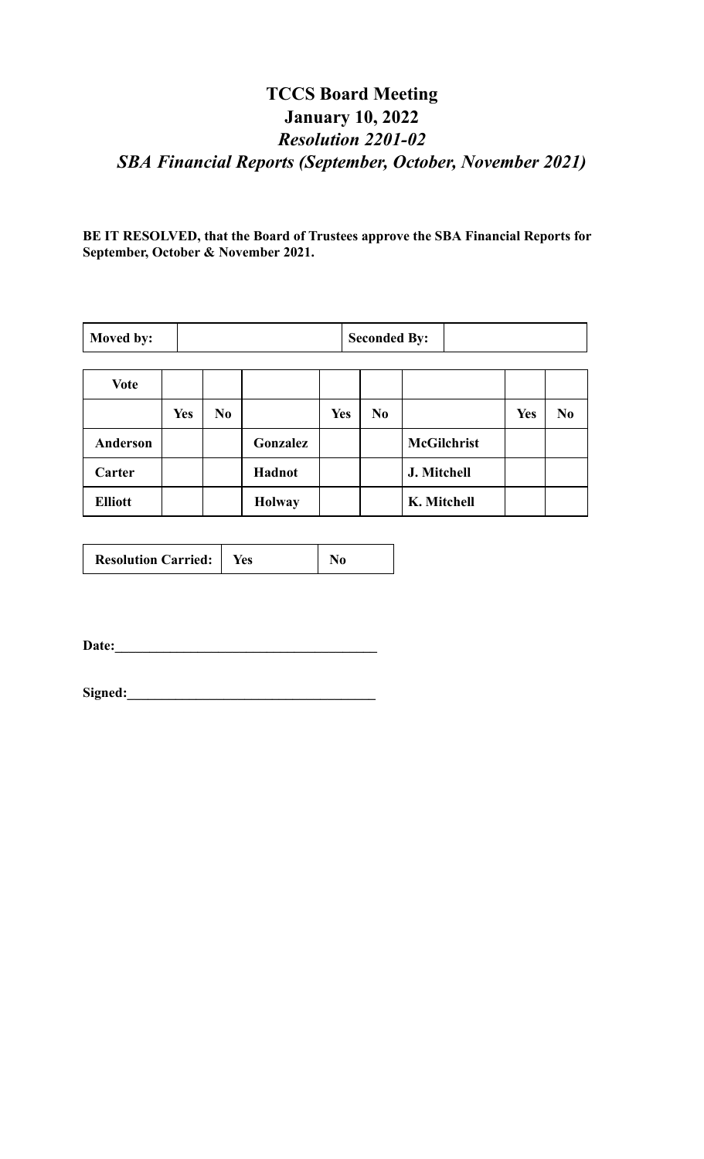# **TCCS Board Meeting January 10, 2022** *Resolution 2201-02 SBA Financial Reports (September, October, November 2021)*

**BE IT RESOLVED, that the Board of Trustees approve the SBA Financial Reports for September, October & November 2021.**

| Moved by:       |            | <b>Seconded By:</b> |               |            |                |                    |            |    |
|-----------------|------------|---------------------|---------------|------------|----------------|--------------------|------------|----|
| <b>Vote</b>     |            |                     |               |            |                |                    |            |    |
|                 | <b>Yes</b> | N <sub>0</sub>      |               | <b>Yes</b> | N <sub>0</sub> |                    | <b>Yes</b> | No |
| <b>Anderson</b> |            |                     | Gonzalez      |            |                | <b>McGilchrist</b> |            |    |
| Carter          |            |                     | Hadnot        |            |                | J. Mitchell        |            |    |
| <b>Elliott</b>  |            |                     | <b>Holway</b> |            |                | K. Mitchell        |            |    |

| <b>Resolution Carried:</b> | Yes |  |
|----------------------------|-----|--|
|----------------------------|-----|--|

**Date:\_\_\_\_\_\_\_\_\_\_\_\_\_\_\_\_\_\_\_\_\_\_\_\_\_\_\_\_\_\_\_\_\_\_\_\_\_\_**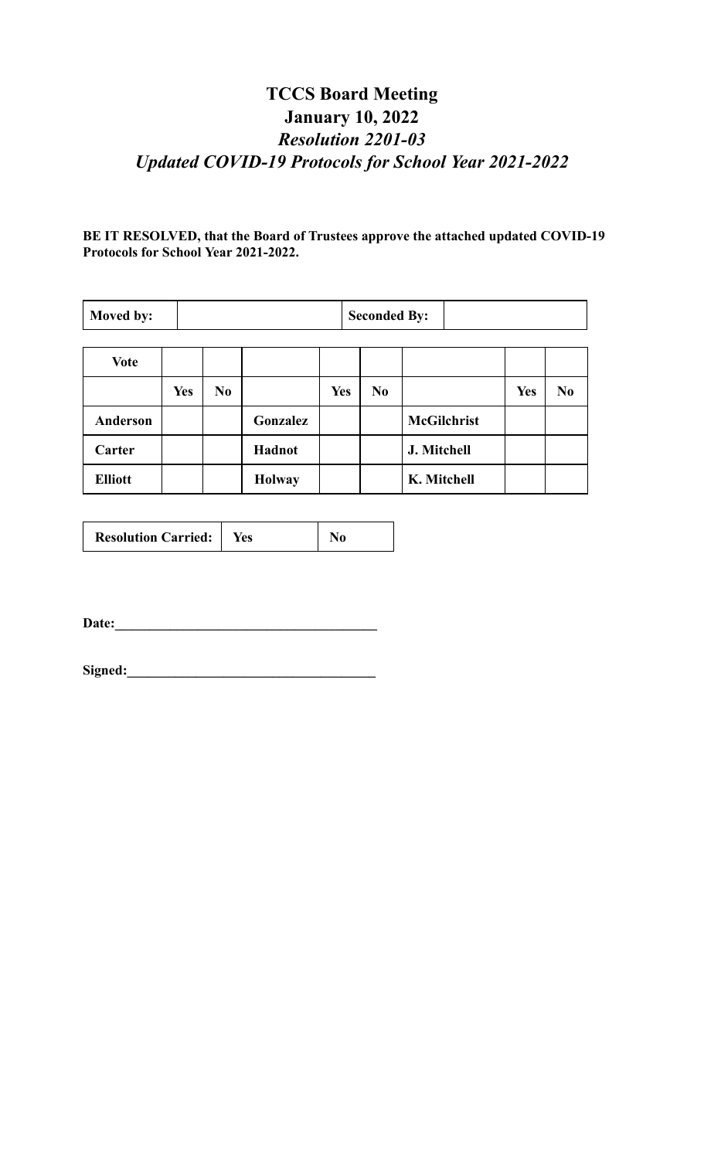# **TCCS Board Meeting January 10, 2022** *Resolution 2201-03 Updated COVID-19 Protocols for School Year 2021-2022*

**BE IT RESOLVED, that the Board of Trustees approve the attached updated COVID-19 Protocols for School Year 2021-2022.**

| Moved by:      |            | <b>Seconded By:</b> |               |            |                |                    |            |                |
|----------------|------------|---------------------|---------------|------------|----------------|--------------------|------------|----------------|
| <b>Vote</b>    |            |                     |               |            |                |                    |            |                |
|                | <b>Yes</b> | N <sub>0</sub>      |               | <b>Yes</b> | N <sub>0</sub> |                    | <b>Yes</b> | N <sub>0</sub> |
| Anderson       |            |                     | Gonzalez      |            |                | <b>McGilchrist</b> |            |                |
| Carter         |            |                     | Hadnot        |            |                | J. Mitchell        |            |                |
| <b>Elliott</b> |            |                     | <b>Holway</b> |            |                | K. Mitchell        |            |                |

| <b>Resolution Carried:</b> | Yes |  |
|----------------------------|-----|--|
|----------------------------|-----|--|

**Date:\_\_\_\_\_\_\_\_\_\_\_\_\_\_\_\_\_\_\_\_\_\_\_\_\_\_\_\_\_\_\_\_\_\_\_\_\_\_**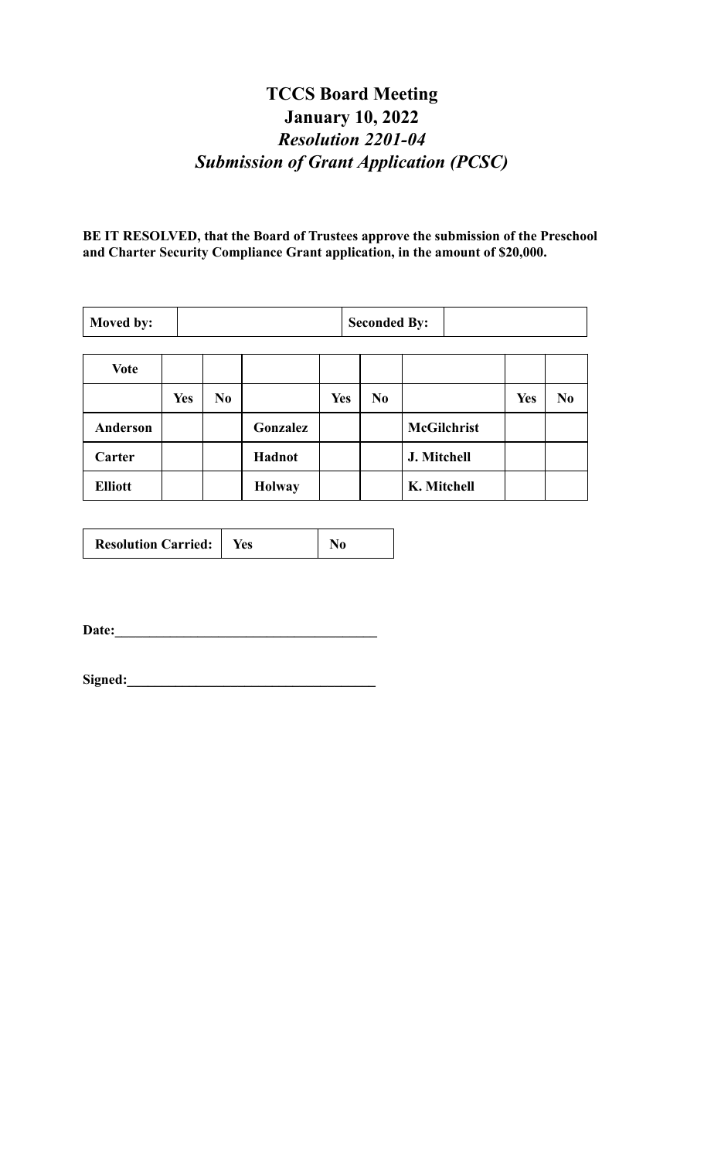# **TCCS Board Meeting January 10, 2022** *Resolution 2201-04 Submission of Grant Application (PCSC)*

**BE IT RESOLVED, that the Board of Trustees approve the submission of the Preschool and Charter Security Compliance Grant application, in the amount of \$20,000.**

| Moved by:       |            | <b>Seconded By:</b> |               |            |    |                    |            |    |
|-----------------|------------|---------------------|---------------|------------|----|--------------------|------------|----|
| <b>Vote</b>     |            |                     |               |            |    |                    |            |    |
|                 | <b>Yes</b> | N <sub>0</sub>      |               | <b>Yes</b> | No |                    | <b>Yes</b> | No |
| <b>Anderson</b> |            |                     | Gonzalez      |            |    | <b>McGilchrist</b> |            |    |
| Carter          |            |                     | Hadnot        |            |    | J. Mitchell        |            |    |
| <b>Elliott</b>  |            |                     | <b>Holway</b> |            |    | K. Mitchell        |            |    |

| <b>Resolution Carried:</b><br><b>Yes</b> |  |  |
|------------------------------------------|--|--|
|------------------------------------------|--|--|

**Date:\_\_\_\_\_\_\_\_\_\_\_\_\_\_\_\_\_\_\_\_\_\_\_\_\_\_\_\_\_\_\_\_\_\_\_\_\_\_**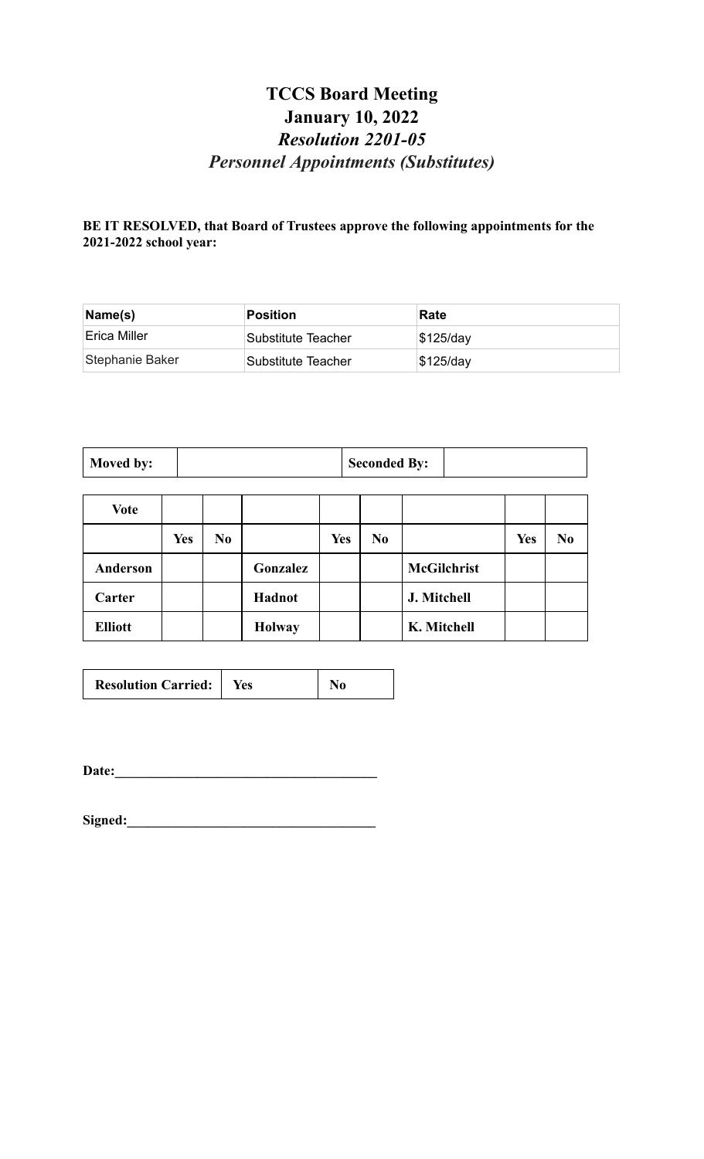# **TCCS Board Meeting January 10, 2022** *Resolution 2201-05 Personnel Appointments (Substitutes)*

**BE IT RESOLVED, that Board of Trustees approve the following appointments for the 2021-2022 school year:**

| Name(s)         | Position           | Rate        |
|-----------------|--------------------|-------------|
| Erica Miller    | Substitute Teacher | $$125$ /day |
| Stephanie Baker | Substitute Teacher | $$125$ /day |

| Moved by: |  | <b>Seconded By:</b> |  |
|-----------|--|---------------------|--|
|-----------|--|---------------------|--|

and the control of the control of the control of the control of the control of the control of the control of the

| <b>Vote</b>    |            |                |               |            |                |                    |            |                |
|----------------|------------|----------------|---------------|------------|----------------|--------------------|------------|----------------|
|                | <b>Yes</b> | N <sub>0</sub> |               | <b>Yes</b> | N <sub>0</sub> |                    | <b>Yes</b> | N <sub>0</sub> |
| Anderson       |            |                | Gonzalez      |            |                | <b>McGilchrist</b> |            |                |
| Carter         |            |                | Hadnot        |            |                | J. Mitchell        |            |                |
| <b>Elliott</b> |            |                | <b>Holway</b> |            |                | K. Mitchell        |            |                |

| <b>Resolution Carried:</b> | Yes | No |
|----------------------------|-----|----|
|----------------------------|-----|----|

**Date:\_\_\_\_\_\_\_\_\_\_\_\_\_\_\_\_\_\_\_\_\_\_\_\_\_\_\_\_\_\_\_\_\_\_\_\_\_\_**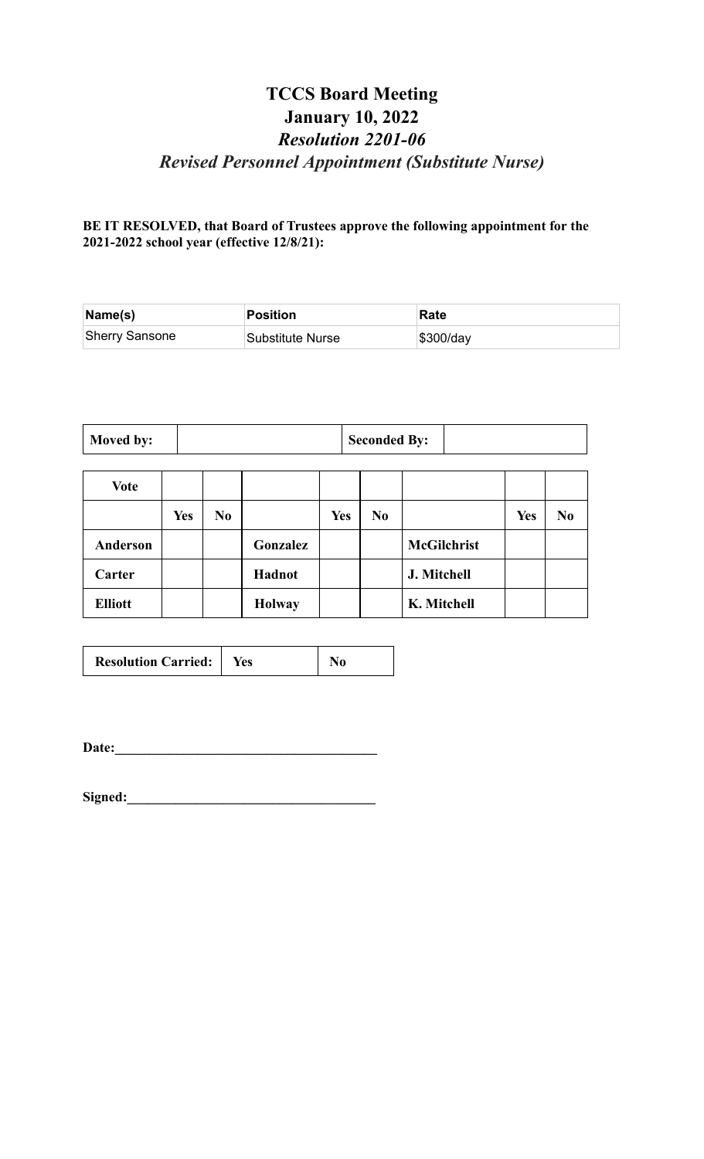## **TCCS Board Meeting January 10, 2022** *Resolution 2201-06 Revised Personnel Appointment (Substitute Nurse)*

**BE IT RESOLVED, that Board of Trustees approve the following appointment for the 2021-2022 school year (effective 12/8/21):**

| $\mathsf{Name}(\mathsf{s})$ | Position         | Rate      |
|-----------------------------|------------------|-----------|
| <b>Sherry Sansone</b>       | Substitute Nurse | \$300/day |

| Moved by: |  | <b>Seconded By:</b> |  |
|-----------|--|---------------------|--|
|-----------|--|---------------------|--|

| Vote           |            |                |               |            |                |                    |            |                |
|----------------|------------|----------------|---------------|------------|----------------|--------------------|------------|----------------|
|                | <b>Yes</b> | N <sub>0</sub> |               | <b>Yes</b> | N <sub>0</sub> |                    | <b>Yes</b> | N <sub>0</sub> |
| Anderson       |            |                | Gonzalez      |            |                | <b>McGilchrist</b> |            |                |
| Carter         |            |                | Hadnot        |            |                | J. Mitchell        |            |                |
| <b>Elliott</b> |            |                | <b>Holway</b> |            |                | K. Mitchell        |            |                |

| <b>Resolution Carried:</b>   Yes |  | $\bf No$ |
|----------------------------------|--|----------|
|----------------------------------|--|----------|

**Date:\_\_\_\_\_\_\_\_\_\_\_\_\_\_\_\_\_\_\_\_\_\_\_\_\_\_\_\_\_\_\_\_\_\_\_\_\_\_**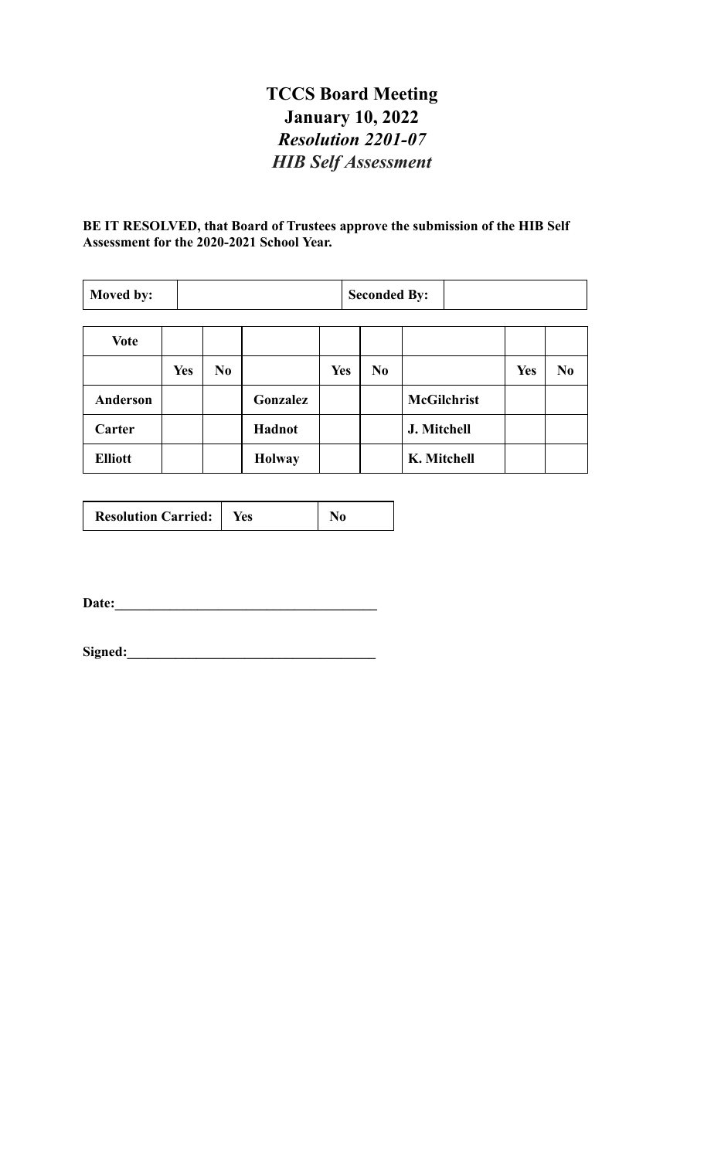# **TCCS Board Meeting January 10, 2022** *Resolution 2201-07 HIB Self Assessment*

#### **BE IT RESOLVED, that Board of Trustees approve the submission of the HIB Self Assessment for the 2020-2021 School Year.**

| Moved by: |  | <b>Seconded By:</b> |  |
|-----------|--|---------------------|--|
|-----------|--|---------------------|--|

| Vote           |            |                |               |            |     |                    |            |                |
|----------------|------------|----------------|---------------|------------|-----|--------------------|------------|----------------|
|                | <b>Yes</b> | N <sub>0</sub> |               | <b>Yes</b> | No. |                    | <b>Yes</b> | N <sub>0</sub> |
| Anderson       |            |                | Gonzalez      |            |     | <b>McGilchrist</b> |            |                |
| Carter         |            |                | Hadnot        |            |     | J. Mitchell        |            |                |
| <b>Elliott</b> |            |                | <b>Holway</b> |            |     | K. Mitchell        |            |                |

**Date:\_\_\_\_\_\_\_\_\_\_\_\_\_\_\_\_\_\_\_\_\_\_\_\_\_\_\_\_\_\_\_\_\_\_\_\_\_\_**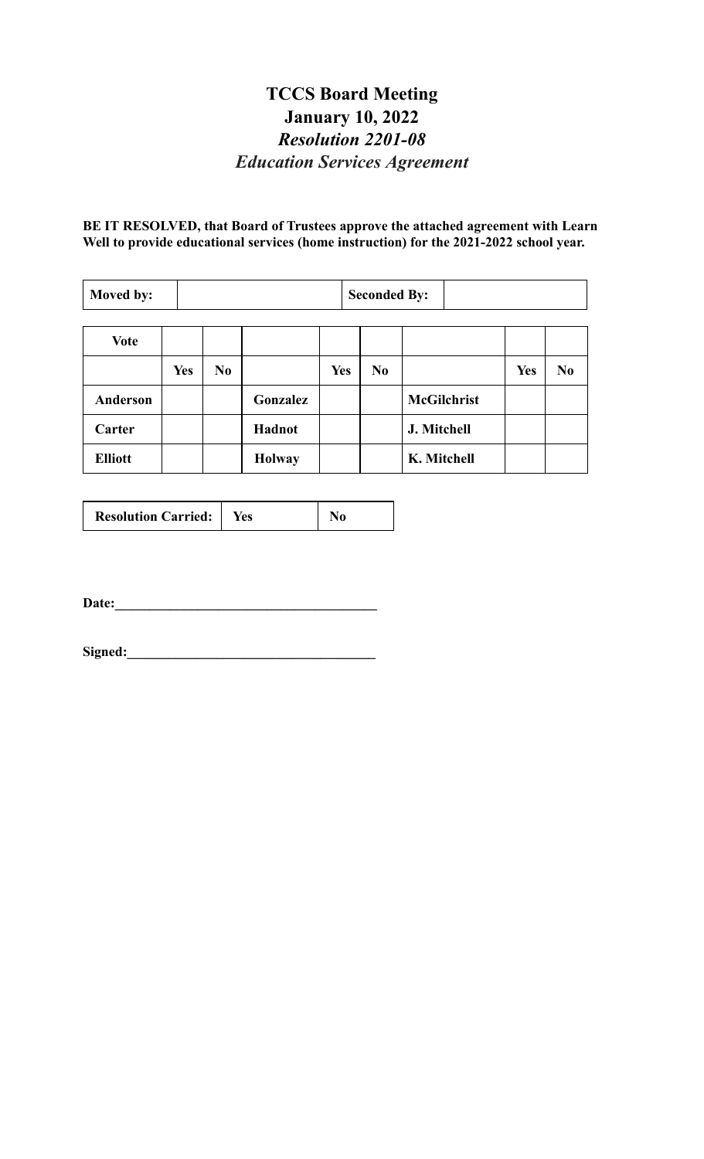## **TCCS Board Meeting January 10, 2022** *Resolution 2201-08 Education Services Agreement*

**BE IT RESOLVED, that Board of Trustees approve the attached agreement with Learn Well to provide educational services (home instruction) for the 2021-2022 school year.**

| Moved by:       |            |                |               |            | <b>Seconded By:</b> |                    |            |                |
|-----------------|------------|----------------|---------------|------------|---------------------|--------------------|------------|----------------|
| <b>Vote</b>     |            |                |               |            |                     |                    |            |                |
|                 | <b>Yes</b> | N <sub>0</sub> |               | <b>Yes</b> | N <sub>0</sub>      |                    | <b>Yes</b> | N <sub>0</sub> |
| <b>Anderson</b> |            |                | Gonzalez      |            |                     | <b>McGilchrist</b> |            |                |
| Carter          |            |                | Hadnot        |            |                     | J. Mitchell        |            |                |
| <b>Elliott</b>  |            |                | <b>Holway</b> |            |                     | K. Mitchell        |            |                |

| <b>Resolution Carried:</b> | Yes | N <sub>0</sub> |
|----------------------------|-----|----------------|
|----------------------------|-----|----------------|

**Date:\_\_\_\_\_\_\_\_\_\_\_\_\_\_\_\_\_\_\_\_\_\_\_\_\_\_\_\_\_\_\_\_\_\_\_\_\_\_**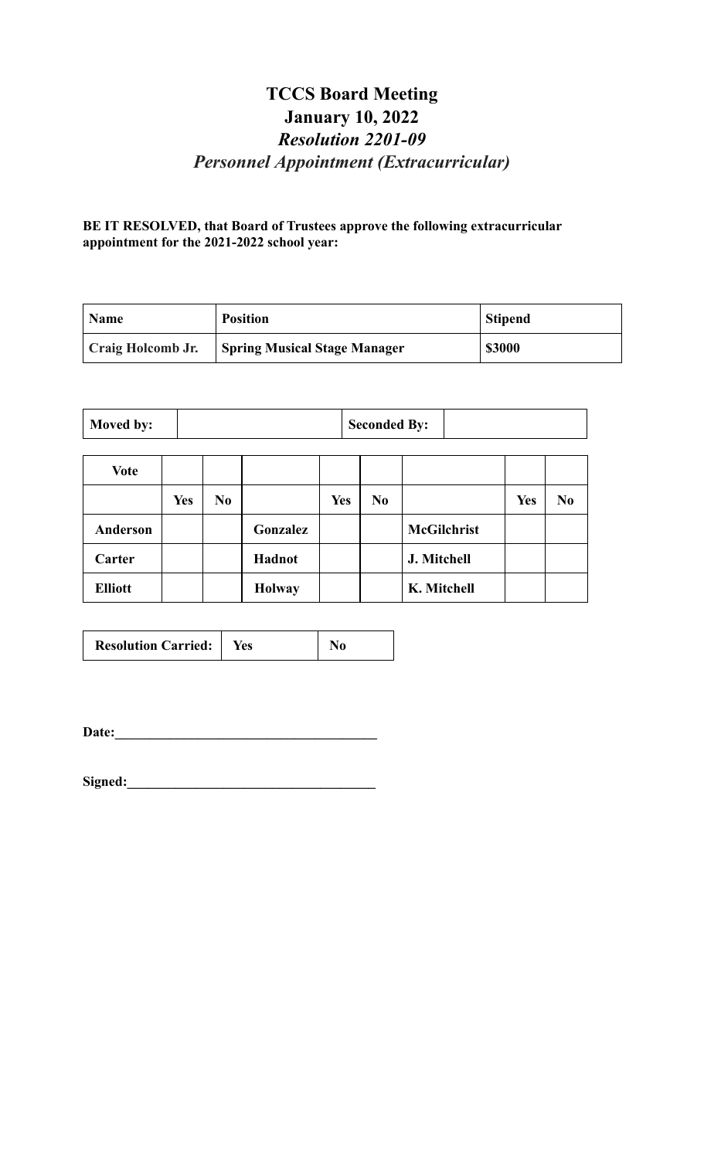## **TCCS Board Meeting January 10, 2022** *Resolution 2201-09 Personnel Appointment (Extracurricular)*

**BE IT RESOLVED, that Board of Trustees approve the following extracurricular appointment for the 2021-2022 school year:**

| <b>Name</b>       | <b>Position</b>                     | <b>Stipend</b> |
|-------------------|-------------------------------------|----------------|
| Craig Holcomb Jr. | <b>Spring Musical Stage Manager</b> | \$3000         |

|--|

| <b>Vote</b>     |            |                |               |            |                |                    |            |                |
|-----------------|------------|----------------|---------------|------------|----------------|--------------------|------------|----------------|
|                 | <b>Yes</b> | N <sub>0</sub> |               | <b>Yes</b> | N <sub>0</sub> |                    | <b>Yes</b> | N <sub>0</sub> |
| <b>Anderson</b> |            |                | Gonzalez      |            |                | <b>McGilchrist</b> |            |                |
| Carter          |            |                | Hadnot        |            |                | J. Mitchell        |            |                |
| <b>Elliott</b>  |            |                | <b>Holway</b> |            |                | K. Mitchell        |            |                |

| <b>Resolution Carried:</b>   Yes |  | $\bf N$ <sub>0</sub> |
|----------------------------------|--|----------------------|
|----------------------------------|--|----------------------|

**Date:\_\_\_\_\_\_\_\_\_\_\_\_\_\_\_\_\_\_\_\_\_\_\_\_\_\_\_\_\_\_\_\_\_\_\_\_\_\_**